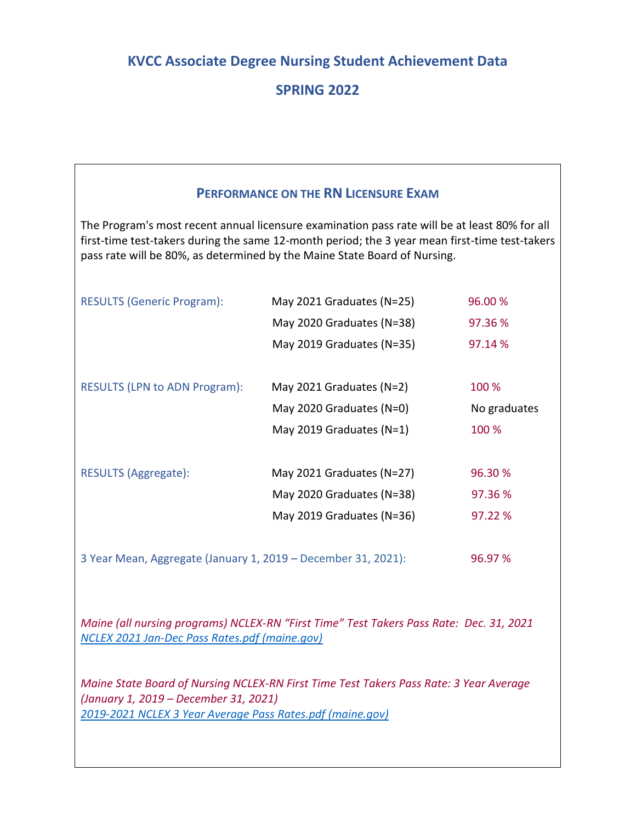## **KVCC Associate Degree Nursing Student Achievement Data**

# **SPRING 2022**

### **PERFORMANCE ON THE RN LICENSURE EXAM**

The Program's most recent annual licensure examination pass rate will be at least 80% for all first-time test-takers during the same 12-month period; the 3 year mean first-time test-takers pass rate will be 80%, as determined by the Maine State Board of Nursing.

| <b>RESULTS (Generic Program):</b>    | May 2021 Graduates (N=25)    | 96.00 %      |
|--------------------------------------|------------------------------|--------------|
|                                      | May 2020 Graduates (N=38)    | 97.36 %      |
|                                      | May 2019 Graduates (N=35)    | 97.14 %      |
|                                      |                              |              |
| <b>RESULTS (LPN to ADN Program):</b> | May 2021 Graduates ( $N=2$ ) | 100 %        |
|                                      | May 2020 Graduates (N=0)     | No graduates |
|                                      | May 2019 Graduates (N=1)     | 100 %        |
|                                      |                              |              |
| <b>RESULTS (Aggregate):</b>          | May 2021 Graduates (N=27)    | 96.30 %      |
|                                      | May 2020 Graduates (N=38)    | 97.36 %      |
|                                      | May 2019 Graduates (N=36)    | 97.22 %      |
|                                      |                              |              |
|                                      |                              |              |

3 Year Mean, Aggregate (January 1, 2019 – December 31, 2021): 96.97 %

*Maine (all nursing programs) NCLEX-RN "First Time" Test Takers Pass Rate: Dec. 31, 2021 [NCLEX 2021 Jan-Dec Pass Rates.pdf \(maine.gov\)](https://www.maine.gov/boardofnursing/docs/NCLEX%202021%20Jan-Dec%20Pass%20Rates.pdf)*

*Maine State Board of Nursing NCLEX-RN First Time Test Takers Pass Rate: 3 Year Average (January 1, 2019 – December 31, 2021) [2019-2021 NCLEX 3 Year Average Pass Rates.pdf \(maine.gov\)](https://www.maine.gov/boardofnursing/docs/2019-2021%20NCLEX%203%20Year%20Average%20Pass%20Rates.pdf)*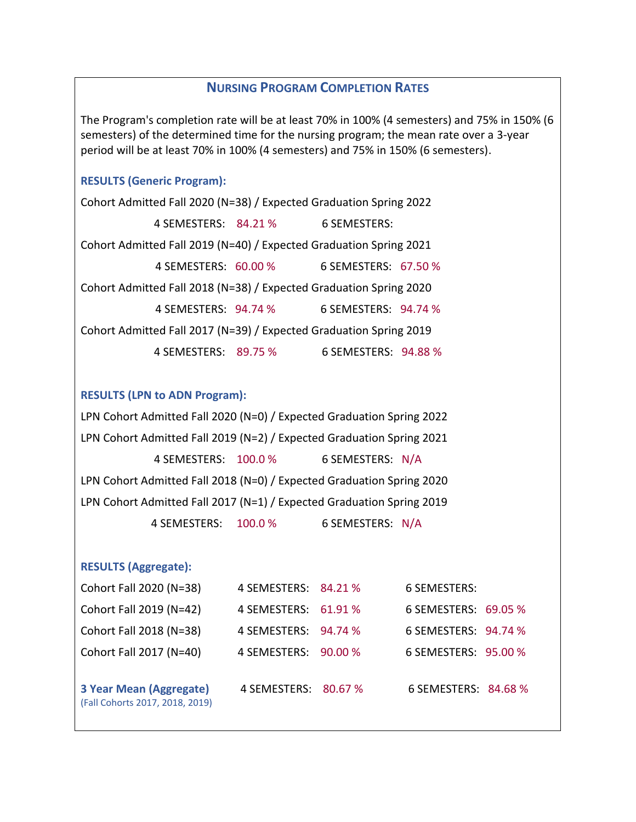### **NURSING PROGRAM COMPLETION RATES**

The Program's completion rate will be at least 70% in 100% (4 semesters) and 75% in 150% (6 semesters) of the determined time for the nursing program; the mean rate over a 3-year period will be at least 70% in 100% (4 semesters) and 75% in 150% (6 semesters).

### **RESULTS (Generic Program):**

Cohort Admitted Fall 2020 (N=38) / Expected Graduation Spring 2022 4 SEMESTERS: 84.21 % 6 SEMESTERS: Cohort Admitted Fall 2019 (N=40) / Expected Graduation Spring 2021 4 SEMESTERS: 60.00 % 6 SEMESTERS: 67.50 % Cohort Admitted Fall 2018 (N=38) / Expected Graduation Spring 2020 4 SEMESTERS: 94.74 % 6 SEMESTERS: 94.74 % Cohort Admitted Fall 2017 (N=39) / Expected Graduation Spring 2019 4 SEMESTERS: 89.75 % 6 SEMESTERS: 94.88 %

#### **RESULTS (LPN to ADN Program):**

LPN Cohort Admitted Fall 2020 (N=0) / Expected Graduation Spring 2022 LPN Cohort Admitted Fall 2019 (N=2) / Expected Graduation Spring 2021 4 SEMESTERS: 100.0 % 6 SEMESTERS: N/A LPN Cohort Admitted Fall 2018 (N=0) / Expected Graduation Spring 2020 LPN Cohort Admitted Fall 2017 (N=1) / Expected Graduation Spring 2019 4 SEMESTERS: 100.0 % 6 SEMESTERS: N/A

#### **RESULTS (Aggregate):**

| Cohort Fall 2020 (N=38)                                    | 4 SEMESTERS: 84.21 % | 6 SEMESTERS:         |
|------------------------------------------------------------|----------------------|----------------------|
| Cohort Fall 2019 (N=42)                                    | 4 SEMESTERS: 61.91 % | 6 SEMESTERS: 69.05 % |
| Cohort Fall 2018 (N=38)                                    | 4 SEMESTERS: 94.74 % | 6 SEMESTERS: 94.74 % |
| Cohort Fall 2017 (N=40)                                    | 4 SEMESTERS: 90.00 % | 6 SEMESTERS: 95.00 % |
| 3 Year Mean (Aggregate)<br>(Fall Cohorts 2017, 2018, 2019) | 4 SEMESTERS: 80.67 % | 6 SEMESTERS: 84.68 % |